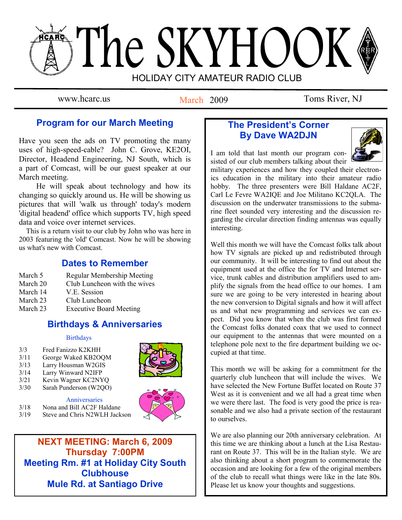# The SKYHOOK HOLIDAY CITY AMATEUR RADIO CLUB

March 2009

www.hcarc.us March 2009 Toms River, NJ

# **Program for our March Meeting**

Have you seen the ads on TV promoting the many uses of high-speed-cable? John C. Grove, KE2OI, Director, Headend Engineering, NJ South, which is a part of Comcast, will be our guest speaker at our March meeting.

 He will speak about technology and how its changing so quickly around us. He will be showing us pictures that will 'walk us through' today's modern 'digital headend' office which supports TV, high speed data and voice over internet services.

 This is a return visit to our club by John who was here in 2003 featuring the 'old' Comcast. Now he will be showing us what's new with Comcast.

# **Dates to Remember**

- March 5 Regular Membership Meeting<br>March 20 Club Luncheon with the wives
- Club Luncheon with the wives
- March 14 V.E. Session
- March 23 Club Luncheon
- March 23 Executive Board Meeting

# **Birthdays & Anniversaries**

#### **Birthdays**

- 3/3 Fred Fanizzo K2KHH
- 3/11 George Waked KB2OQM<br>3/13 Larry Housman W2GIS
- Larry Housman W2GIS
- 3/14 Larry Winward N2IFP
- 3/21 Kevin Wagner KC2NYQ<br>3/30 Sarah Punderson (W2OO)
- Sarah Punderson (W2OO)

Anniversaries 3/18 Nona and Bill AC2F Haldane<br>3/19 Steve and Chris N2WLH Jack Steve and Chris N2WLH Jackson



**NEXT MEETING: March 6, 2009 Thursday 7:00PM Meeting Rm. #1 at Holiday City South Clubhouse Mule Rd. at Santiago Drive**

# **The President's Corner By Dave WA2DJN**



I am told that last month our program consisted of our club members talking about their

military experiences and how they coupled their electronics education in the military into their amateur radio hobby. The three presenters were Bill Haldane AC2F, Carl Le Fevre WA2IQE and Joe Militano KC2QLA. The discussion on the underwater transmissions to the submarine fleet sounded very interesting and the discussion regarding the circular direction finding antennas was equally interesting.

Well this month we will have the Comcast folks talk about how TV signals are picked up and redistributed through our community. It will be interesting to find out about the equipment used at the office the for TV and Internet service, trunk cables and distribution amplifiers used to amplify the signals from the head office to our homes. I am sure we are going to be very interested in hearing about the new conversion to Digital signals and how it will affect us and what new programming and services we can expect. Did you know that when the club was first formed the Comcast folks donated coax that we used to connect our equipment to the antennas that were mounted on a telephone pole next to the fire department building we occupied at that time.

This month we will be asking for a commitment for the quarterly club luncheon that will include the wives. We have selected the New Fortune Buffet located on Route 37 West as it is convenient and we all had a great time when we were there last. The food is very good the price is reasonable and we also had a private section of the restaurant to ourselves.

We are also planning our 20th anniversary celebration. At this time we are thinking about a lunch at the Lisa Restaurant on Route 37. This will be in the Italian style. We are also thinking about a short program to commemorate the occasion and are looking for a few of the original members of the club to recall what things were like in the late 80s. Please let us know your thoughts and suggestions.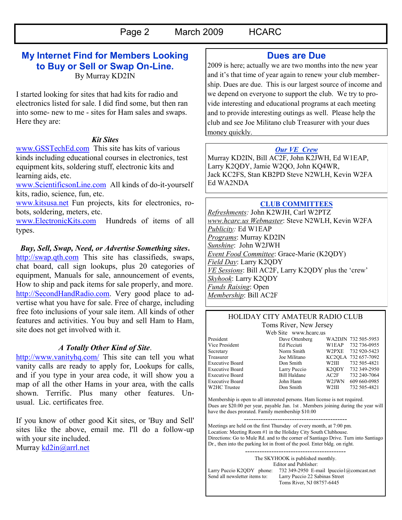# **My Internet Find for Members Looking to Buy or Sell or Swap On-Line.**

By Murray KD2IN

I started looking for sites that had kits for radio and electronics listed for sale. I did find some, but then ran into some- new to me - sites for Ham sales and swaps. Here they are:

#### *Kit Sites*

[www.GSSTechEd.com](http://www.gssteched.com/) This site has kits of various kinds including educational courses in electronics, test equipment kits, soldering stuff, electronic kits and learning aids, etc.

[www.ScientificsonLine.com](http://www.scientificsonline.com/) All kinds of do-it-yourself kits, radio, science, fun, etc.

[www.kitsusa.net](http://www.kitsusa.net/) Fun projects, kits for electronics, robots, soldering, meters, etc.

[www.ElectronicKits.com](http://www.electronickits.com/) Hundreds of items of all types.

#### *Buy, Sell, Swap, Need, or Advertise Something sites***.**

[http://swap.qth.com](http://swap.qth.com/) This site has classifieds, swaps, chat board, call sign lookups, plus 20 categories of equipment, Manuals for sale, announcement of events, How to ship and pack items for sale properly, and more. [http://SecondHandRadio.com.](http://secondhandradio.com/) Very good place to advertise what you have for sale. Free of charge, including free foto inclusions of your sale item. All kinds of other features and activities. You buy and sell Ham to Ham, site does not get involved with it.

#### *A Totally Other Kind of Site*.

<http://www.vanityhq.com/> This site can tell you what vanity calls are ready to apply for, Lookups for calls, and if you type in your area code, it will show you a map of all the other Hams in your area, with the calls shown. Terrific. Plus many other features. Unusual. Lic. certificates free.

If you know of other good Kit sites, or 'Buy and Sell' sites like the above, email me. I'll do a follow-up with your site included.

Murray [kd2in@arrl.net](mailto:kd2in@arrl.net)

## **Dues are Due**

2009 is here; actually we are two months into the new year and it's that time of year again to renew your club membership. Dues are due. This is our largest source of income and we depend on everyone to support the club. We try to provide interesting and educational programs at each meeting and to provide interesting outings as well. Please help the club and see Joe Militano club Treasurer with your dues money quickly.

### *Our VE Crew*

Murray KD2IN, Bill AC2F, John K2JWH, Ed W1EAP, Larry K2QDY, Jamie W2QO, John KQ4WR, Jack KC2FS, Stan KB2PD Steve N2WLH, Kevin W2FA Ed WA2NDA

## **CLUB COMMITTEES**

*Refreshments:* John K2WJH, Carl W2PTZ *www.hcarc.us Webmaster*: Steve N2WLH, Kevin W2FA *Publicity:* Ed W1EAP *Programs*: Murray KD2IN *Sunshine*: John W2JWH *Event Food Committee*: Grace-Marie (K2QDY) *Field Day*: Larry K2QDY *VE Sessions*: Bill AC2F, Larry K2QDY plus the "crew" *Skyhook*: Larry K2QDY *Funds Raising*: Open *Membership*: Bill AC2F

## HOLIDAY CITY AMATEUR RADIO CLUB Toms River, New Jersey

Web Site www.hcarc.us<br>Dave Ottenberg President Dave Ottenberg WA2DJN 732 505-5953<br>Vice President Ed Picciuti WIEAP 732 736-0955 Vice President Ed Picciuti W1EAP 732 736-0955<br>Secretary Norm Smith W2PXE 732 920-5423 Norm Smith W2PXE 732 920-5423 Treasurer Joe Militano KC2QLA 732 657-7092 Executive Board Don Smith W2III 732 505-4821 Executive Board Larry Puccio K2QDY 732 349-2950 Executive Board Bill Haldane AC2F 732 240-7064<br>Executive Board John Hann W2JWN 609 660-0985 Executive Board John Hann W2JWN 609 660-0985<br>W2HC Trustee  $\frac{1}{2}$  Don Smith W2III 732 505-4821 W2HC Trustee Don Smith W2III 732 505-4821

Membership is open to all interested persons. Ham license is not required. Dues are \$20.00 per year, payable Jan. 1st . Members joining during the year will have the dues prorated. Family membership \$10.00

------------------------------------------- Meetings are held on the first Thursday of every month, at 7:00 pm. Location: Meeting Room #1 in the Holiday City South Clubhouse. Directions: Go to Mule Rd. and to the corner of Santiago Drive. Turn into Santiago Dr., then into the parking lot in front of the pool. Enter bldg. on right.

------------------------------------------ The SKYHOOK is published monthly. Editor and Publisher: Larry Puccio K2QDY phone: 732 349-2950 E-mail lpuccio1@comcast.net<br>Send all newsletter items to: Larry Puccio 22 Sabinas Street Larry Puccio 22 Sabinas Street Toms River, NJ 08757-6445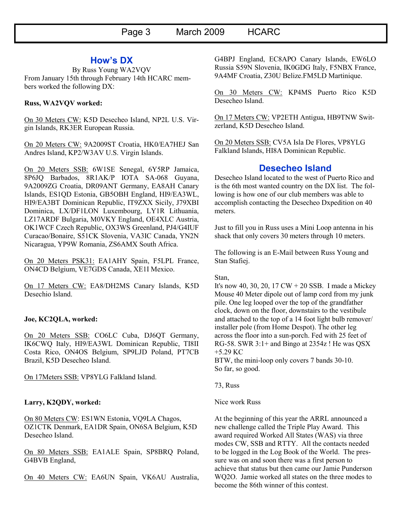## **How's DX**

By Russ Young WA2VQV From January 15th through February 14th HCARC members worked the following DX:

#### **Russ, WA2VQV worked:**

On 30 Meters CW: K5D Desecheo Island, NP2L U.S. Virgin Islands, RK3ER European Russia.

On 20 Meters CW: 9A2009ST Croatia, HK0/EA7HEJ San Andres Island, KP2/W3AV U.S. Virgin Islands.

On 20 Meters SSB: 6W1SE Senegal, 6Y5RP Jamaica, 8P6JQ Barbados, 8R1AK/P IOTA SA-068 Guyana, 9A2009ZG Croatia, DR09ANT Germany, EA8AH Canary Islands, ES1QD Estonia, GB5OBH England, HI9/EA3WL, HI9/EA3BT Dominican Republic, IT9ZXX Sicily, J79XBI Dominica, LX/DF1LON Luxembourg, LY1R Lithuania, LZ17ARDF Bulgaria, M0VKY England, OE4XLC Austria, OK1WCF Czech Republic, OX3WS Greenland, PJ4/G4IUF Curacao/Bonaire, S51CK Slovenia, VA3IC Canada, YN2N Nicaragua, YP9W Romania, ZS6AMX South Africa.

On 20 Meters PSK31: EA1AHY Spain, F5LPL France, ON4CD Belgium, VE7GDS Canada, XE1I Mexico.

On 17 Meters CW: EA8/DH2MS Canary Islands, K5D Desechio Island.

#### **Joe, KC2QLA, worked:**

On 20 Meters SSB: CO6LC Cuba, DJ6QT Germany, IK6CWQ Italy, HI9/EA3WL Dominican Republic, TI8II Costa Rico, ON4OS Belgium, SP9LJD Poland, PT7CB Brazil, K5D Desecheo Island.

On 17Meters SSB: VP8YLG Falkland Island.

#### **Larry, K2QDY, worked:**

On 80 Meters CW: ES1WN Estonia, VQ9LA Chagos, OZ1CTK Denmark, EA1DR Spain, ON6SA Belgium, K5D Desecheo Island.

On 80 Meters SSB: EA1ALE Spain, SP8BRQ Poland, G4BVB England,

On 40 Meters CW: EA6UN Spain, VK6AU Australia,

G4BPJ England, EC8APO Canary Islands, EW6LO Russia S59N Slovenia, IK0GDG Italy, F5NBX France, 9A4MF Croatia, Z30U Belize.FM5LD Martinique.

On 30 Meters CW: KP4MS Puerto Rico K5D Desecheo Island.

On 17 Meters CW: VP2ETH Antigua, HB9TNW Switzerland, K5D Desecheo Island.

On 20 Meters SSB: CV5A Isla De Flores, VP8YLG Falkland Islands, HI8A Dominican Republic.

## **Desecheo Island**

Desecheo Island located to the west of Puerto Rico and is the 6th most wanted country on the DX list. The following is how one of our club members was able to accomplish contacting the Desecheo Dxpedition on 40 meters.

Just to fill you in Russ uses a Mini Loop antenna in his shack that only covers 30 meters through 10 meters.

The following is an E-Mail between Russ Young and Stan Stafiej.

Stan,

It's now 40, 30, 20, 17 CW + 20 SSB. I made a Mickey Mouse 40 Meter dipole out of lamp cord from my junk pile. One leg looped over the top of the grandfather clock, down on the floor, downstairs to the vestibule and attached to the top of a 14 foot light bulb remover/ installer pole (from Home Despot). The other leg across the floor into a sun-porch. Fed with 25 feet of RG-58. SWR 3:1+ and Bingo at 2354z ! He was QSX +5.29 KC

BTW, the mini-loop only covers 7 bands 30-10. So far, so good.

73, Russ

Nice work Russ

At the beginning of this year the ARRL announced a new challenge called the Triple Play Award. This award required Worked All States (WAS) via three modes CW, SSB and RTTY. All the contacts needed to be logged in the Log Book of the World. The pressure was on and soon there was a first person to achieve that status but then came our Jamie Punderson WQ2O. Jamie worked all states on the three modes to become the 86th winner of this contest.